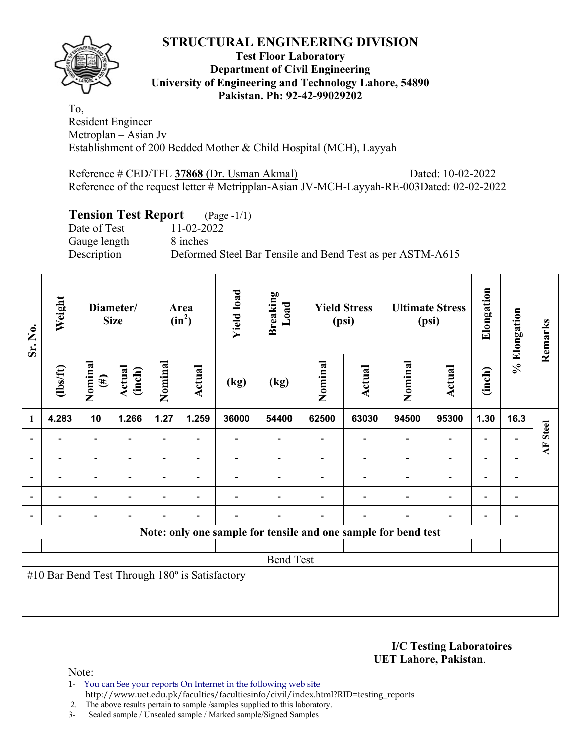## **STRUCTURAL ENGINEERING DIVISION**



#### **Test Floor Laboratory Department of Civil Engineering University of Engineering and Technology Lahore, 54890 Pakistan. Ph: 92-42-99029202**

To, Resident Engineer Metroplan – Asian Jv Establishment of 200 Bedded Mother & Child Hospital (MCH), Layyah

Reference # CED/TFL **37868** (Dr. Usman Akmal) Dated: 10-02-2022 Reference of the request letter # Metripplan-Asian JV-MCH-Layyah-RE-003Dated: 02-02-2022

# **Tension Test Report** (Page -1/1)

Date of Test 11-02-2022 Gauge length 8 inches

Description Deformed Steel Bar Tensile and Bend Test as per ASTM-A615

| Sr. No.                                                        | Weight                   | Diameter/<br><b>Size</b> |                          | Area<br>$(in^2)$         |                          | <b>Yield load</b> | <b>Breaking</b><br>Load | <b>Yield Stress</b><br>(psi) |        | <b>Ultimate Stress</b><br>(psi) |                          | Elongation               | % Elongation             | Remarks                        |
|----------------------------------------------------------------|--------------------------|--------------------------|--------------------------|--------------------------|--------------------------|-------------------|-------------------------|------------------------------|--------|---------------------------------|--------------------------|--------------------------|--------------------------|--------------------------------|
|                                                                | $\frac{2}{10}$           | Nominal<br>$(\#)$        | Actual<br>(inch)         | Nominal                  | Actual                   | (kg)              | (kg)                    | Nominal                      | Actual | Nominal                         | <b>Actual</b>            | (inch)                   |                          |                                |
| 1                                                              | 4.283                    | 10                       | 1.266                    | 1.27                     | 1.259                    | 36000             | 54400                   | 62500                        | 63030  | 94500                           | 95300                    | 1.30                     | 16.3                     |                                |
|                                                                |                          |                          |                          | $\overline{\phantom{0}}$ |                          |                   |                         |                              |        |                                 |                          |                          |                          | <b>Steel</b><br>$\overline{A}$ |
|                                                                |                          | $\overline{\phantom{0}}$ |                          |                          |                          |                   |                         |                              |        |                                 |                          |                          |                          |                                |
|                                                                | $\overline{\phantom{0}}$ | $\overline{\phantom{a}}$ | $\overline{\phantom{0}}$ |                          | $\overline{\phantom{a}}$ |                   |                         |                              |        |                                 | $\overline{\phantom{0}}$ | $\overline{\phantom{0}}$ | $\blacksquare$           |                                |
|                                                                | $\overline{\phantom{0}}$ | $\overline{\phantom{0}}$ |                          | -                        | $\blacksquare$           |                   |                         |                              |        |                                 | $\overline{\phantom{0}}$ | $\overline{\phantom{0}}$ | $\overline{\phantom{a}}$ |                                |
|                                                                | $\overline{\phantom{0}}$ | $\overline{\phantom{0}}$ |                          |                          | $\overline{\phantom{0}}$ |                   |                         |                              |        |                                 | $\overline{\phantom{0}}$ | $\overline{\phantom{0}}$ |                          |                                |
| Note: only one sample for tensile and one sample for bend test |                          |                          |                          |                          |                          |                   |                         |                              |        |                                 |                          |                          |                          |                                |
|                                                                |                          |                          |                          |                          |                          |                   |                         |                              |        |                                 |                          |                          |                          |                                |
| <b>Bend Test</b>                                               |                          |                          |                          |                          |                          |                   |                         |                              |        |                                 |                          |                          |                          |                                |
| #10 Bar Bend Test Through 180° is Satisfactory                 |                          |                          |                          |                          |                          |                   |                         |                              |        |                                 |                          |                          |                          |                                |
|                                                                |                          |                          |                          |                          |                          |                   |                         |                              |        |                                 |                          |                          |                          |                                |
|                                                                |                          |                          |                          |                          |                          |                   |                         |                              |        |                                 |                          |                          |                          |                                |

**I/C Testing Laboratoires UET Lahore, Pakistan**.

Note:

1- You can See your reports On Internet in the following web site http://www.uet.edu.pk/faculties/facultiesinfo/civil/index.html?RID=testing\_reports

2. The above results pertain to sample /samples supplied to this laboratory.

3- Sealed sample / Unsealed sample / Marked sample/Signed Samples